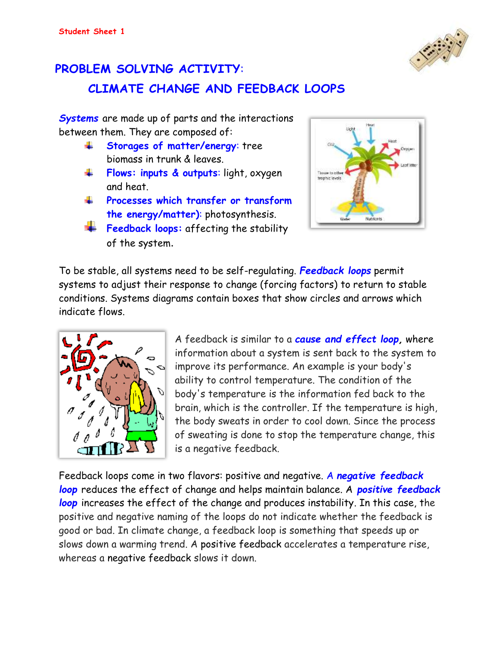## **PROBLEM SOLVING ACTIVITY**:



*Systems* are made up of parts and the interactions between them. They are composed of:

- **Storages of matter/energy**: tree ÷ biomass in trunk & leaves.
- **Flows: inputs & outputs**: light, oxygen ÷ and heat.
- al a **Processes which transfer or transform the energy/matter)**: photosynthesis.
- **Feedback loops:** affecting the stability of the system.



To be stable, all systems need to be self-regulating. *Feedback loops* permit systems to adjust their response to change (forcing factors) to return to stable conditions. Systems diagrams contain boxes that show circles and arrows which indicate flows.



A feedback is similar to a *cause and effect loop,* where information about a system is sent back to the system to improve its performance. An example is your body's ability to control temperature. The condition of the body's temperature is the information fed back to the brain, which is the controller. If the temperature is high, the body sweats in order to cool down. Since the process of sweating is done to stop the temperature change, this is a negative feedback.

Feedback loops come in two flavors: positive and negative. A *negative feedback loop* reduces the effect of change and helps maintain balance. A *positive feedback loop* increases the effect of the change and produces instability. In this case, the positive and negative naming of the loops do not indicate whether the feedback is good or bad. In climate change, a feedback loop is something that speeds up or slows down a warming trend. A positive feedback accelerates a temperature rise, whereas a negative feedback slows it down.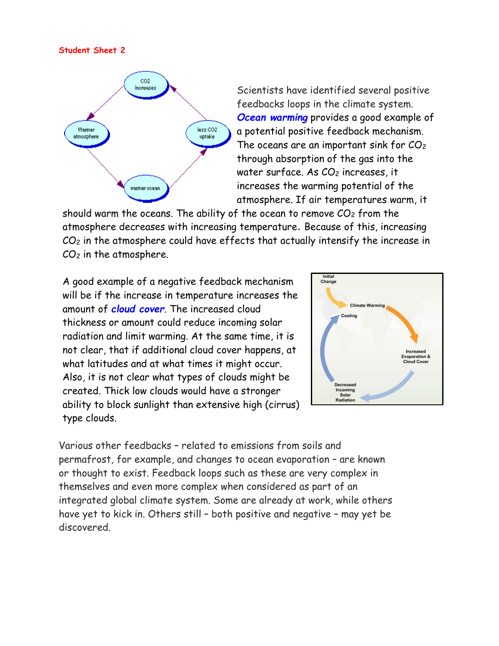#### **Student Sheet 2**



Scientists have identified several positive feedbacks loops in the climate system. *Ocean warming* provides a good example of a potential positive feedback mechanism. The oceans are an important sink for  $CO<sub>2</sub>$ through absorption of the gas into the water surface. As CO<sub>2</sub> increases, it increases the warming potential of the atmosphere. If air temperatures warm, it

should warm the oceans. The ability of the ocean to remove  $CO<sub>2</sub>$  from the atmosphere decreases with increasing temperature. Because of this, increasing CO<sup>2</sup> in the atmosphere could have effects that actually intensify the increase in  $CO<sub>2</sub>$  in the atmosphere.

A good example of a negative feedback mechanism will be if the increase in temperature increases the amount of *cloud cover*. The increased cloud thickness or amount could reduce incoming solar radiation and limit warming. At the same time, it is not clear, that if additional cloud cover happens, at what latitudes and at what times it might occur. Also, it is not clear what types of clouds might be created. Thick low clouds would have a stronger ability to block sunlight than extensive high (cirrus) type clouds.



Various other feedbacks – related to emissions from soils and permafrost, for example, and changes to ocean evaporation – are known or thought to exist. Feedback loops such as these are very complex in themselves and even more complex when considered as part of an integrated global climate system. Some are already at work, while others have yet to kick in. Others still – both positive and negative – may yet be discovered.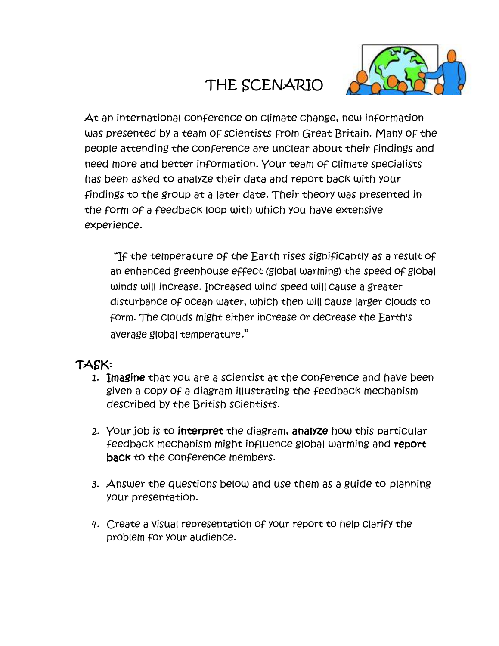# THE SCENARIO



At an international conference on climate change, new information was presented by a team of scientists from Great Britain. Many of the people attending the conference are unclear about their findings and need more and better information. Your team of climate specialists has been asked to analyze their data and report back with your findings to the group at a later date. Their theory was presented in the form of a feedback loop with which you have extensive experience.

"If the temperature of the Earth rises significantly as a result of an enhanced greenhouse effect (global warming) the speed of global winds will increase. Increased wind speed will cause a greater disturbance of ocean water, which then will cause larger clouds to form. The clouds might either increase or decrease the Earth's average global temperature."

#### TASK:

- 1. Imagine that you are a scientist at the conference and have been given a copy of a diagram illustrating the feedback mechanism described by the British scientists.
- 2. Your job is to interpret the diagram, analyze how this particular feedback mechanism might influence global warming and report back to the conference members.
- 3. Answer the questions below and use them as a guide to planning your presentation.
- 4. Create a visual representation of your report to help clarify the problem for your audience.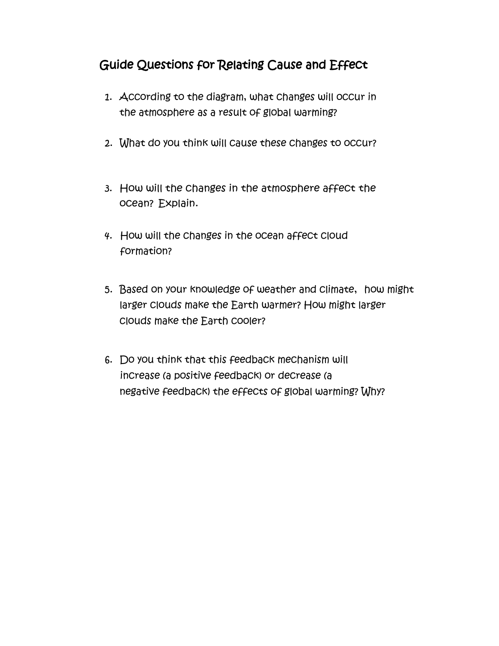### Guide Questions for Relating Cause and Effect

- 1. According to the diagram, what changes will occur in the atmosphere as a result of global warming?
- 2. What do you think will cause these changes to occur?
- 3. How will the changes in the atmosphere affect the ocean? Explain.
- 4. How will the changes in the ocean affect cloud formation?
- 5. Based on your knowledge of weather and climate, how might larger clouds make the Earth warmer? How might larger clouds make the Earth cooler?
- 6. Do you think that this feedback mechanism will increase (a positive feedback) or decrease (a negative feedback) the effects of global warming? Why?